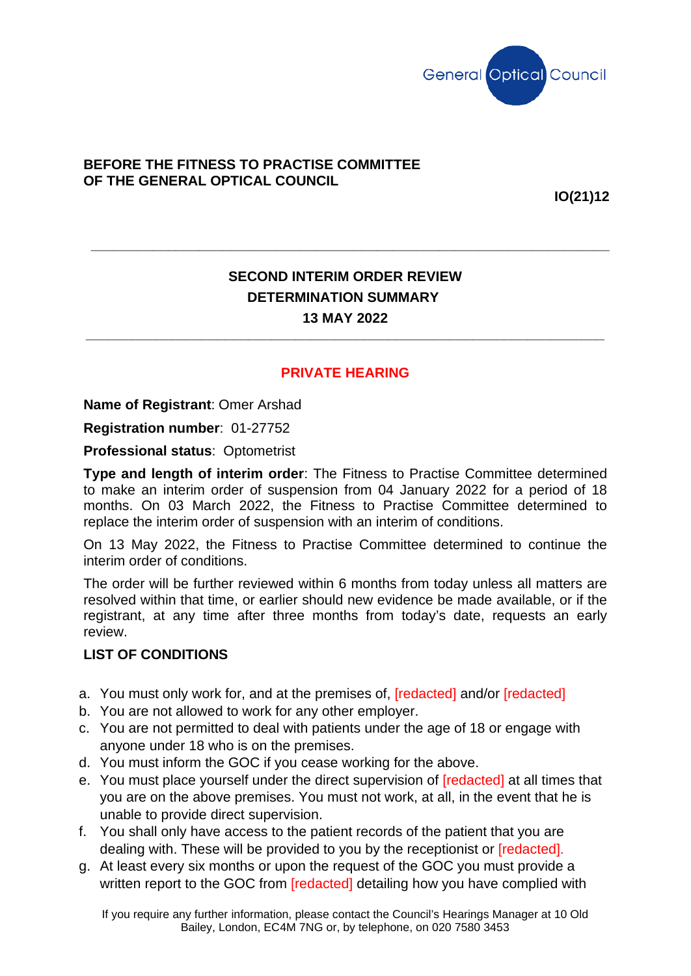

## **BEFORE THE FITNESS TO PRACTISE COMMITTEE OF THE GENERAL OPTICAL COUNCIL**

**IO(21)12**

## **SECOND INTERIM ORDER REVIEW DETERMINATION SUMMARY 13 MAY 2022**

**\_\_\_\_\_\_\_\_\_\_\_\_\_\_\_\_\_\_\_\_\_\_\_\_\_\_\_\_\_\_\_\_\_\_\_\_\_\_\_\_\_\_\_\_\_\_\_\_\_\_\_\_\_\_\_\_\_\_\_\_\_\_\_\_\_\_\_**

**\_\_\_\_\_\_\_\_\_\_\_\_\_\_\_\_\_\_\_\_\_\_\_\_\_\_\_\_\_\_\_\_\_\_\_\_\_\_\_\_\_\_\_\_\_\_\_\_\_\_\_\_\_\_\_\_\_\_\_\_\_\_\_\_\_\_\_**

## **PRIVATE HEARING**

**Name of Registrant**: Omer Arshad

**Registration number**: 01-27752

**Professional status**: Optometrist

**Type and length of interim order**: The Fitness to Practise Committee determined to make an interim order of suspension from 04 January 2022 for a period of 18 months. On 03 March 2022, the Fitness to Practise Committee determined to replace the interim order of suspension with an interim of conditions.

On 13 May 2022, the Fitness to Practise Committee determined to continue the interim order of conditions.

The order will be further reviewed within 6 months from today unless all matters are resolved within that time, or earlier should new evidence be made available, or if the registrant, at any time after three months from today's date, requests an early review.

## **LIST OF CONDITIONS**

- a. You must only work for, and at the premises of, [redacted] and/or [redacted]
- b. You are not allowed to work for any other employer.
- c. You are not permitted to deal with patients under the age of 18 or engage with anyone under 18 who is on the premises.
- d. You must inform the GOC if you cease working for the above.
- e. You must place yourself under the direct supervision of [redacted] at all times that you are on the above premises. You must not work, at all, in the event that he is unable to provide direct supervision.
- f. You shall only have access to the patient records of the patient that you are dealing with. These will be provided to you by the receptionist or [redacted].
- g. At least every six months or upon the request of the GOC you must provide a written report to the GOC from [redacted] detailing how you have complied with